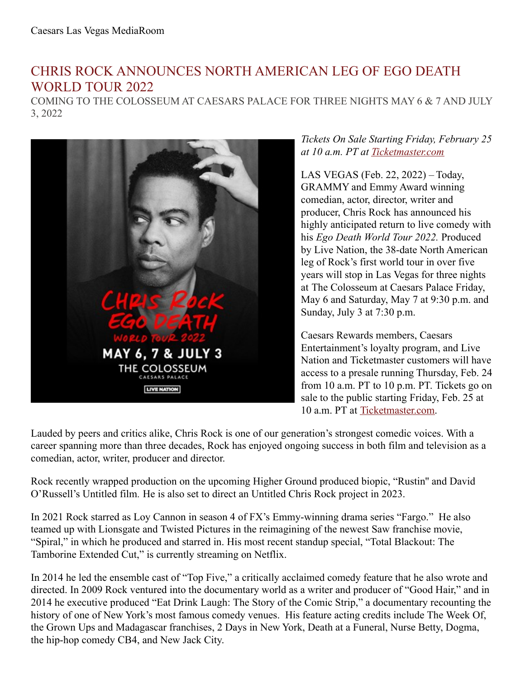## CHRIS ROCK ANNOUNCES NORTH AMERICAN LEG OF EGO DEATH WORLD TOUR 2022

COMING TO THE COLOSSEUM AT CAESARS PALACE FOR THREE NIGHTS MAY 6 & 7 AND JULY 3, 2022



## *Tickets On Sale Starting Friday, February 25 at 10 a.m. PT at [Ticketmaster.com](https://www.ticketmaster.com/chris-rock-tickets/artist/702631)*

LAS VEGAS (Feb. 22, 2022) – Today, GRAMMY and Emmy Award winning comedian, actor, director, writer and producer, Chris Rock has announced his highly anticipated return to live comedy with his *Ego Death World Tour 2022.* Produced by Live Nation, the 38-date North American leg of Rock's first world tour in over five years will stop in Las Vegas for three nights at The Colosseum at Caesars Palace Friday, May 6 and Saturday, May 7 at 9:30 p.m. and Sunday, July 3 at 7:30 p.m.

Caesars Rewards members, Caesars Entertainment's loyalty program, and Live Nation and Ticketmaster customers will have access to a presale running Thursday, Feb. 24 from 10 a.m. PT to 10 p.m. PT. Tickets go on sale to the public starting Friday, Feb. 25 at 10 a.m. PT at [Ticketmaster.com](https://www.ticketmaster.com/chris-rock-tickets/artist/702631).

Lauded by peers and critics alike, Chris Rock is one of our generation's strongest comedic voices. With a career spanning more than three decades, Rock has enjoyed ongoing success in both film and television as a comedian, actor, writer, producer and director.

Rock recently wrapped production on the upcoming Higher Ground produced biopic, "Rustin'' and David O'Russell's Untitled film*.* He is also set to direct an Untitled Chris Rock project in 2023.

In 2021 Rock starred as Loy Cannon in season 4 of FX's Emmy-winning drama series "Fargo." He also teamed up with Lionsgate and Twisted Pictures in the reimagining of the newest Saw franchise movie, "Spiral," in which he produced and starred in. His most recent standup special, "Total Blackout: The Tamborine Extended Cut," is currently streaming on Netflix.

In 2014 he led the ensemble cast of "Top Five," a critically acclaimed comedy feature that he also wrote and directed. In 2009 Rock ventured into the documentary world as a writer and producer of "Good Hair," and in 2014 he executive produced "Eat Drink Laugh: The Story of the Comic Strip," a documentary recounting the history of one of New York's most famous comedy venues. His feature acting credits include The Week Of, the Grown Ups and Madagascar franchises, 2 Days in New York, Death at a Funeral, Nurse Betty, Dogma, the hip-hop comedy CB4, and New Jack City.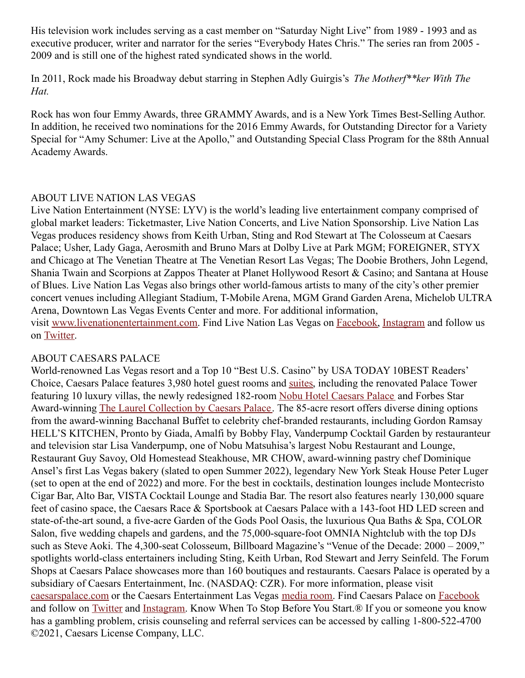His television work includes serving as a cast member on "Saturday Night Live" from 1989 - 1993 and as executive producer, writer and narrator for the series "Everybody Hates Chris." The series ran from 2005 - 2009 and is still one of the highest rated syndicated shows in the world.

In 2011, Rock made his Broadway debut starring in Stephen Adly Guirgis's *The Motherf\*\*ker With The Hat.*

Rock has won four Emmy Awards, three GRAMMYAwards, and is a New York Times Best-Selling Author. In addition, he received two nominations for the 2016 Emmy Awards, for Outstanding Director for a Variety Special for "Amy Schumer: Live at the Apollo," and Outstanding Special Class Program for the 88th Annual Academy Awards.

## ABOUT LIVE NATION LAS VEGAS

Live Nation Entertainment (NYSE: LYV) is the world's leading live entertainment company comprised of global market leaders: Ticketmaster, Live Nation Concerts, and Live Nation Sponsorship. Live Nation Las Vegas produces residency shows from Keith Urban, Sting and Rod Stewart at The Colosseum at Caesars Palace; Usher, Lady Gaga, Aerosmith and Bruno Mars at Dolby Live at Park MGM; FOREIGNER, STYX and Chicago at The Venetian Theatre at The Venetian Resort Las Vegas; The Doobie Brothers, John Legend, Shania Twain and Scorpions at Zappos Theater at Planet Hollywood Resort & Casino; and Santana at House of Blues. Live Nation Las Vegas also brings other world-famous artists to many of the city's other premier concert venues including Allegiant Stadium, T-Mobile Arena, MGM Grand Garden Arena, Michelob ULTRA Arena, Downtown Las Vegas Events Center and more. For additional information, visit [www.livenationentertainment.com](https://urldefense.com/v3/__http:/link.mediaoutreach.meltwater.com/ls/click?upn=PbjIqWsNhFH50douPoqcSuPTD7YmW9KA7gfQz9nkKKvZYcXjACn3dsFwbhtC2ByGUCyKvZPDQsK-2FJ22oARlurThd0BZQmTWgup8UlY2KxA-2BXbEq-2FdJaTCM4U2rVZCnThkJTCXuLiBboIL18A3-2FraCFy7mvw9eS-2F7e59I2lUtnzYhZRV02-2BP9DiKySmBsq0o7CWufoPNsul0Xn0nmnL40sPo9k7h-2Bqkj4rSoiWkxO2UwDi6BcSPi1aLaB9aiw5jtZnz09Rb8JbLjV8HVnUBo99MHD7BkpN-2B-2F-2FzhJsINV-2BswyxU9hpxziWB9NcIobDH7xCcTEcq1Dw-2BYxrCbJtcn3qQi2JTWZDY3TvkIhDYhdk3To11PFhX63SaU-2FbVrrs9dgf-2FMFSuGJ9WEPD0Tr2gwoHdOZ4dUHY48PXsS-2FwGA52-2BdPruJz6l6mK0gi5nIZL6LbTq-2Bk2UChciNXKNxs4L7aUhRNDMExunyAXeJ46rUpIw4wymUDHt-2FU6xDa2bzoJxvuwSYO1eCwkmJM48iFdZYG71wIAAid2-2FSNgc26TEUOIjABukXiStqAXUv3b6C6Kn9odO-2BNYPUFi-2FFbjFXLwuHsJujqs6AQ-2BK9GjO5FAMWGBB4tLOGIUsp6J79pT2hyR9XoC6Ypt74cMCW-2BAN3S1mgARIHKL9gEHFipv4JbbRE0QEztQUwWze-2FmvoSRw17bTiiXVe2b2lQxBcN2-2FxybFpWvkAXXHR4E3qEi2qyOdzEQRvDc5fJNHpkQhsY5NWck231eavBf4IBhaJl-2Bc8jniSVZIhTaiaDJ8Uz6LuCcLXgd5ZSNUj-2Bb5sycfx4ebCW-2FziB5UXjmcgdg-2FjOwMD5Om-2FfnTZF6cbLqBArFgayPEwDuRpuTV7svQJGJVh2Tf80xniXoXR1L0ytXW7EPHeYrKmKQX9GtrvOL-2FtV8SbhgniJPsU7SbRdSqgf6MMtRYVrMVuLKTq5vtR9hD-2FANdy3K-2BnbpZBt3kFv4B12lzRuYhQS7sekyU40Rej6xWT7PeZrqCpKYs4opwLZpU2HBqzEMrPWZc9-2F0mXSQ2HxIWjbladkqksaZ4-2BJi72HQSlLkdpXQz8TXc4Y0th8liPGB1U0MSSxHJlQ8ejjk9Jn5aFka-2BWAZy6l-2BEkJAw8Vty4-2BD-2BAPQRXLBLr-2B1C9sqqU6n6nH81NsJNMmO0s6anv6BztzfTrBKvnr4rxKhPpRPraDgKSntDB6oPyhkF0qqzLls9hLit0DrX8y9Wblds9HmbySs8MLDWh9iPxHWuALG4lTGRGRcQxpGs-2BWAPpMxljEVwgx87IxjM-2B9A1Qe9z4pEaVztkcLbrnmIdyENeqO2Po5UTu0Zpidwp93BmgtgXNXgMyupuOet-2BxU7AEgbz5tXq-2BoA4UA9odm8RLtwN7zZGpvkGqFn4e546piZT9X5mr3H-2BM-2FulXkKHz7RiWYMppRgJrztnIps89QnWkhxTV9TI2nduTJG6YLuoj5lLej3aLnXtJCSb9tKqscWEyb6HbPVDQsk0iVC-2FaMpeLE-2FjmmP4ak93L8OUDvgM1vFPcPg-2FvHN6Fk424WRuK55KpAdEuWVldWCruYLkqC2tXfcBK2lIGX0PjMGuZoqZaP-2FHkXt-2BWqBg3x-2FIM9AHzJ5E-2FxvL6jbKXYTvu5QKrf1jc3DA5sh5dYF9DsKPi2pkDzgt-2F0ynCVDyr-2B9GxQN1lzJP8U2Dgg6Syfr-2FtEGXdRxC0WnaEOEoddsGyYIQuOhIrCgg3ZvzpdpyQf2ECfJyaYbpUcIzlHN7ISL9Yl4-2FzRpNxa7LkGrnuyeHOdMUxAV53ZHcdDJwMrQ1eqx4YjT8PYYTeAu5zmlut8-2F-2BFQE62sh0iFTOP7Aa-2FZUaj9kulEvnXlAtydzFLMaTU-2BMqtXCuZGb9A). Find Live Nation Las Vegas on [Facebook](https://urldefense.com/v3/__http:/link.mediaoutreach.meltwater.com/ls/click?upn=PbjIqWsNhFH50douPoqcSuPTD7YmW9KA7gfQz9nkKKvZYcXjACn3dsFwbhtC2ByGUCyKvZPDQsK-2FJ22oARlurThd0BZQmTWgup8UlY2KxA-2BXbEq-2FdJaTCM4U2rVZCnThkJTCXuLiBboIL18A3-2FraCFy7mvw9eS-2F7e59I2lUtnzYhZRV02-2BP9DiKySmBsq0o7CWufoPNsul0Xn0nmnL40sPo9k7h-2Bqkj4rSoiWkxO2UwDi6BcSPi1aLaB9aiw5jtZnz09Rb8JbLjV8HVnUBo99MHD7BkpN-2B-2F-2FzhJsINV-2BswyxU9hpxziWB9NcIobDH7xCcTEcq1Dw-2BYxrCbJtcn3qQm1jRvTIwDkMuSP6lHE4FC26LsGc08xcON5KXCXr5EPCjYlgyesrRXZga39zyGFXjHAOFAqW5gqRXq3An6izZM1irbwXKeC0tG-2FwyEhDmQ6bL0jnyNsyQep-2B3esrGWc7isAM3PKwWZkUvj-2FiBZK-2Bg3S8-2FtLEwxoiopqVq4tmGPlKhfreW-2FFGo0-2BOMXnmTtiuZCZ6yZk7z8aFuhw-2BBvqbpfEJMZTSVKhXFv-2BAU-2FYUze7Y0A0mh7fFqC-2Fw68OxovoKKTSrXUCY-2FCVbQl-2FBV7-2BA4ZufDt34HGWL7rDLKtJE1ejFmtJcBacItPBO9mofNEY8-2BuMLMBgUq4eKdBebvYKcMdufOGBld4hW-2F-2BJqyEx9iSBXH9ejyRgz6pcYvJ0uuY3OpgvZ32CK1v2y7rYTvjpvbcXBsmoUn6T60rg-2FLn9NZ-2Bw5Vh5gbgG4bUOKGGzJ4i4wPP6eDlgvm-2BMv45ZWyJy2DZI-2B8iin21ltIRydCVNhSGA91pN0idokGnez6nOws-2FZLC0pGN75jttExjg1A-2BTRulT450KFBQGZVV8ypxK6jI8T4SePj-2F9NJFjWKuA-2BE6B1aILsNd0sJ7pHUALyY6BR-2Fi1O7-2FL9zbRi7gIGuYLl3pT9feZ4-2FiP0N-2Fj09njq4oIPAZxAZGSCom2-2FJfWKNpcO9PzaSL0xflrj6lFScbbPsNvyqWN9tuaFHZXI0K2lxkcwTQpgWcXss7wO7fTw3mNZvZQ49zjPY2E7PK15KMus1ZJseAtCp8t3TchTA-2BkE5LpXgk4KcWoc6psS3AGmSoAU65JsdTxrli1eHrQt-2B5qHes2N2rCHuE5vZkbK3ewgsViwFhhjsz-2BLoCQGLRMTGllO2ZLkoxCDOwFx6EoVsPpr-2BTmJEAdRkwSEyG9oUpcrYy1j0I-2Fr2nc6pBi307rRXPDnZ0ZJDX3U3AD887m-2BEVRlhXRQqS73BHACkC5ZA4K0mdSeJeMyXSDYmqPFkxyxaDTsm1lOCMqUXfqEJqZbmw4BYCBnqwkanCZOr0lp7afu0nRS85grMVZJe0R7GMTCahvvngpw9mozmyPZbkscfv7bnmU90t-2BuUmMDw-2BUxIuW5SFfuldnTPPVNxizWuA76x88U-2BcUqeRqmFnDEufC-2BKzKyNdmn-2FxkENr7lBVTIbp7JcXmrwwPyJCYezlgyv9npmgpffZTp3TDDvQ-2BPR-2BAxoy9Ixv8ep0V5qwcT6Y7oSfyUGi9-2F-2FKqkL8EzQIJ2nngIp9G2BsgIly-2Bdx-2BVqdYsBCKMvMkTC0zFEF0pEIa4PnoLDPAZGgeoWqBsLI-2FF1zuq8KtOXXxCvpgxCThZx17lHK8zOlbKTBAf6Au-2FCKf0TjJH154SuJheT0tHCQeYTudnGAH8oNokVwhyqtxmarFLkERWpDppVTNsYhNzFxJ2J3pJ1ip1eLVjUl8CReQEHRCJxolcr0hGDZ3GvstQjDZt8oSZx9Q3gpHql-2FxVL6jhIqlXMoWiufCC1qE5rrJfkoMK-2FgTyRlMs5MCrpkicTZKNHNr3WOtk-2FM7mbr1FEbhednJyqewXe), [Instagram](https://urldefense.com/v3/__http:/link.mediaoutreach.meltwater.com/ls/click?upn=PbjIqWsNhFH50douPoqcSuPTD7YmW9KA7gfQz9nkKKvZYcXjACn3dsFwbhtC2ByGUCyKvZPDQsK-2FJ22oARlurThd0BZQmTWgup8UlY2KxA-2BXbEq-2FdJaTCM4U2rVZCnThkJTCXuLiBboIL18A3-2FraCFy7mvw9eS-2F7e59I2lUtnzYhZRV02-2BP9DiKySmBsq0o7CWufoPNsul0Xn0nmnL40sPo9k7h-2Bqkj4rSoiWkxO2UwDi6BcSPi1aLaB9aiw5jtZnz09Rb8JbLjV8HVnUBo99MHD7BkpN-2B-2F-2FzhJsINV-2BswyxU9hpxziWB9NcIobDH7xCcTEcq1Dw-2BYxrCbJtcn3qQjIWm44p9GIRYFw0bBkh-2FbVs5-2BrXFvK23BgRXI1uQwVJuapVjpnjRr8VTcjD1xh42hAcrVEg-2BikNVuXk5ZKTOCbsxqlfTTzAvA4UkvUsykzqqDx92dWx98p8pA3CrnuPZ3yBXlCtgLjfL-2BRs-2BcjnEq3L06jbsm6slo0ZRgzMoeZFpnNIb4XA4Wnvtai7fG7q9ka1R8cYNFF62Rwm2ZrZwRUawi411WljcQCBC65zvcGwBImuVydySXlSa2mDbb1jm-2BAMs6NZa65ugobrLIulIzlgg6WNZqmAqjuiIBeLKOFdpOyhBqyDnmY2oXh6cbT-2B6N9HVEMYspyMoTvGiA5osLPA5Fnd-2BxlnwK5WQL9utN68ThCBtdOObXXmjX4fXBVLP9yfJrdCJ-2FXHvWFDCUi-2Fj18kCiUKUeFD5UmJ7UPvJd1xhjrOqCtmE-2BN4Q9MjH0N0gPVoR9olFCh69mUB1uTrRNutKKA4wnYv3vr6SkHum0Z5jq93zhUOM6aAgtlugLteuT-2B7s9KPEcAIl-2FSGNBlIMtYJ6zTM3deTyvBdX0w-2FCZdwcCk96NJ1kme07WzJ7vlfn9cgoFUXer-2FQY0QCSAjxElDu5DwU2WYgfbAmL1S-2B5a5yhwkWdtABJqom74cLUiewUyRsZSEtX6F4BgtOb8JkLE1ywzhkOMxdsXaI3DZLjo-2Fc-2BZBCZ0J0sNpKA7fFytyAtZvmGkv4lRTM5Ec6J2e9Cds8j-2FfGL980QkRwUClj9VDskSj3VRHQRsi-2BbnrjtSsVc8TmunU-2BH7-2BFw4xOz9BuI0JB-2Fj4n2ebQcu6cbnxr80x1aDgSxwkpyVWUHXxs8lCoZUbGyfL2XLR-2BJn1tyC-2BfhLYSCut-2FQv8tMxNcwpztvjnb8sfEJeqkgbwV8RqDPNlEkxAP0wcZmyk3V9aA3F60ukNdRd2d97ptU2O9ivbR2hq-2FSGk2IZEZhllcNRHGHP-2FCTvyG7ZpYMLq8auo-2B1egHI1zvSWZlw5bXigzGvurI5WibV4OgiOa5RGCsPpcy9Kbab6qyUn4rI-2B-2BZPf5fyLxDFVeCP9PEkE7Kf1uXC15WkvTzUkttPN9WoSt-2BvSmTJa6BXWjt-2Fg62A0cPSY-2BZLrNOezihGxfnupK8KYp1BILRaB-2F0ToAcqtU091OvhF627WdCj0uZFtKxBOijUGLJDm0sznSL5sZLdkndP8PjOQO8tyFz3LVGmqpFOLLJ0eD3gREpGiiGE-2BlFX6kGx7yRDDpG767W4-2F2PkCrDPS7J6NM9dS8v2jjns1hteOHlgaarxSrrJiERYaZj1t-2B8DboWveXyw0w7UBsmkja6IebzzBLkS1gtqB7OLhAGXLeRWT7-2Bqkhkqfeyz3JKs2k6hKOy4jLD3S37p0kP1sH6-2FdKKYjIlEXZ39XI5-2FLzMM47K5GUIUsOx0nd5G3fWZWfTIad7CD67ix218J3vXpidmAK08340ioEKkBtszVBVwicZ1xhRamsRssb-2Frb8OOncOK55SoC9s2BVum8Z5rFOicJl96pJp01zs1Eiu2XKk9JO0lb27a3gLwk-2BA9tJ9B9O2LGV6k) and follow us on [Twitter](https://urldefense.com/v3/__http:/link.mediaoutreach.meltwater.com/ls/click?upn=PbjIqWsNhFH50douPoqcSuPTD7YmW9KA7gfQz9nkKKvZYcXjACn3dsFwbhtC2ByGUCyKvZPDQsK-2FJ22oARlurThd0BZQmTWgup8UlY2KxA-2BXbEq-2FdJaTCM4U2rVZCnThkJTCXuLiBboIL18A3-2FraCFy7mvw9eS-2F7e59I2lUtnzYhZRV02-2BP9DiKySmBsq0o7CWufoPNsul0Xn0nmnL40sPo9k7h-2Bqkj4rSoiWkxO2UwDi6BcSPi1aLaB9aiw5jtZnz09Rb8JbLjV8HVnUBo99MHD7BkpN-2B-2F-2FzhJsINV-2BswyxU9hpxziWB9NcIobDH7xCcTEcq1Dw-2BYxrCbJtcn3qQnJOhWwBeYBuGKDtSHrgMa9LPjZ9xS173Iz7g5ZCmziITVZN3m56uNbf1N16Liqgtyx1KbmMyK9JMV197-2B9CJ3HvSrSnDz8ajsNHD7pjrVzNf5flfuTi7xnIjcXOeLMiOB0Tt-2F-2BTXtwGFSmBCAV-2FoWw45r3U9fsIPsih1UPmzWJbnTE7Vk3wcRvwcDYAKBGhjBrmwt0nKisJ59ZFLTNc3AW2a-2FzzvI4Mm-2FnrBx-2FXWcwTE5xYHKZKbGfz1AY3Dko4cyApJ0AoAtuYSAnEXBsztB9hq3un6AC7Fkx-2BczoPfEBjHL9H-2BKOjv2ZRQi-2BXpdp1aWWxe55DlsusxMmZIV8amNVwOrSQvOSR9gRiGJOAgRGdHSyOMQ5GPrBWSBHDVLAkhuWWYDkVPG-2BlFXzOuX8-2F8L-2Few9w7Tg-2BarwHuKDluN-2F6QB3mL75zUSe43aRIv29gibl4sbLXN9-2BYQ2kTvw6OrK-2BCwueQt8KI2bDy7BCbq76qJfgZD7brxWCPQCT3H5wRIG4Lje-2F6Y4vQiyGPjIa8Qar-2FDHlhvcZ1uSekcLk7PKnAS-2Fa2thIo4We7nY4ccCxtWpdi-2BRh0A4Fn1cremHya1j54A1NF2b-2FPDYFw9lmV9BCB6tTAPY-2Bzm827EMZwT1CgblBi1tABg9H22lFPNMwlUGAB9FNX9nLWUa5LLsn-2BB9sixHL3katWW1Ps-2F7BZ-2Bp2nLg9etn9RjlR4-2Fsa-2FEunk2R7JumUVsnnASzbTbb11t4tI0zl1voN1NCRUjLuPatIpo-2BMyatK0eZ7aK1dn5Qa4mD2SDv03S2mNxjlo5LNdLbenKef6nohd8uWdKjU8xfO6gMBRXs5anXYwtVji2K6y3lawXdhXBr2gOpmffVKrEj3lCyBcgPJfESj3lqwDL7O5N2qFkk3xsgoZEgIAQIECMcDWgeUakWT7LBbCXGv79DiYeAJeCj9Z1lXTjfxYTuRh-2FfZhsHd4XOwwID4LyBP-2BPPyJIWeMmbZdFdVXaa-2BYZnsjdX7gTAmrKxiC2o12QU-2BqYccX-2BP-2F8XewafuQj9k8B6teYeuyYD0nbcCjuqtJIqi1mWb-2FDgw4iuIv4LAmQGGxdfybOFxMJC5Cjwn4ESiKghO6G3y-2Fqt-2Fzz-2FDPevxDXiZSmCZbXgAUUuUdj7YVob9OALdBVWOYqKxwEXLYg-2F263mYqTo4AeKp4lDgMMuoCO3LxgKJ7b3MeSa3Z0CKdNV4jaIo6ZjEltWQfGNwhUoPSDYzmVGLaysNO-2BzZTII6-2FHSEcCM7nJWSTgo5ahsGkg9lUSIWV0ACSC-2F6UVYg1rIsp32lYEulsRBqa2bF36uVl3oCx8sOK5UCHHwujiLPRux4ToQ37de8Y4jJMSOWtkJhmhaUEfKbyD1HIOCdqWbZ-2BlObaFHjnzp8S5aZxFdIryTBzk5itFsVzwVhZLgnQC81jvBCPodCZLi4O6pb1YJB6nKNat4W9xcrV-2FXyOfcKoRYHE7B6Lft-2FV4F0RSaDq7xoo2I478zso7TzTum9BuMumbmHmBy0SY7dNj-2BACIB62q1h6W5dvq2kVrKq).

## ABOUT CAESARS PALACE

World-renowned Las Vegas resort and a Top 10 "Best U.S. Casino" by USA TODAY 10BEST Readers' Choice, Caesars Palace features 3,980 hotel guest rooms and [suites](https://www.caesars.com/las-vegas/suites), including the renovated Palace Tower featuring 10 luxury villas, the newly redesigned 182-room Nobu Hotel [Caesars](https://www.caesars.com/nobu-caesars-palace) Palace and Forbes Star Award-winning The Laurel [Collection](https://www.caesars.com/caesars-palace/hotel) by Caesars Palace. The 85-acre resort offers diverse dining options from the award-winning Bacchanal Buffet to celebrity chef-branded restaurants, including Gordon Ramsay HELL'S KITCHEN, Pronto by Giada, Amalfi by Bobby Flay, Vanderpump Cocktail Garden by restauranteur and television star Lisa Vanderpump, one of Nobu Matsuhisa's largest Nobu Restaurant and Lounge, Restaurant Guy Savoy, Old Homestead Steakhouse, MR CHOW, award-winning pastry chef Dominique Ansel's first Las Vegas bakery (slated to open Summer 2022), legendary New York Steak House Peter Luger (set to open at the end of 2022) and more. For the best in cocktails, destination lounges include Montecristo Cigar Bar, Alto Bar, VISTA Cocktail Lounge and Stadia Bar. The resort also features nearly 130,000 square feet of casino space, the Caesars Race & Sportsbook at Caesars Palace with a 143-foot HD LED screen and state-of-the-art sound, a five-acre Garden of the Gods Pool Oasis, the luxurious Qua Baths & Spa, COLOR Salon, five wedding chapels and gardens, and the 75,000-square-foot OMNIA Nightclub with the top DJs such as Steve Aoki. The 4,300-seat Colosseum, Billboard Magazine's "Venue of the Decade: 2000 – 2009," spotlights world-class entertainers including Sting, Keith Urban, Rod Stewart and Jerry Seinfeld. The Forum Shops at Caesars Palace showcases more than 160 boutiques and restaurants. Caesars Palace is operated by a subsidiary of Caesars Entertainment, Inc. (NASDAQ: CZR). For more information, please visit [caesarspalace.com](https://www.caesars.com/caesars-palace) or the Caesars Entertainment Las Vegas [media](http://caesars.mediaroom.com/) room. Find Caesars Palace on [Facebook](https://www.facebook.com/caesarspalace) and follow on [Twitter](https://twitter.com/CaesarsPalace) and [Instagram.](https://www.instagram.com/caesarspalace) Know When To Stop Before You Start.® If you or someone you know has a gambling problem, crisis counseling and referral services can be accessed by calling 1-800-522-4700 ©2021, Caesars License Company, LLC.